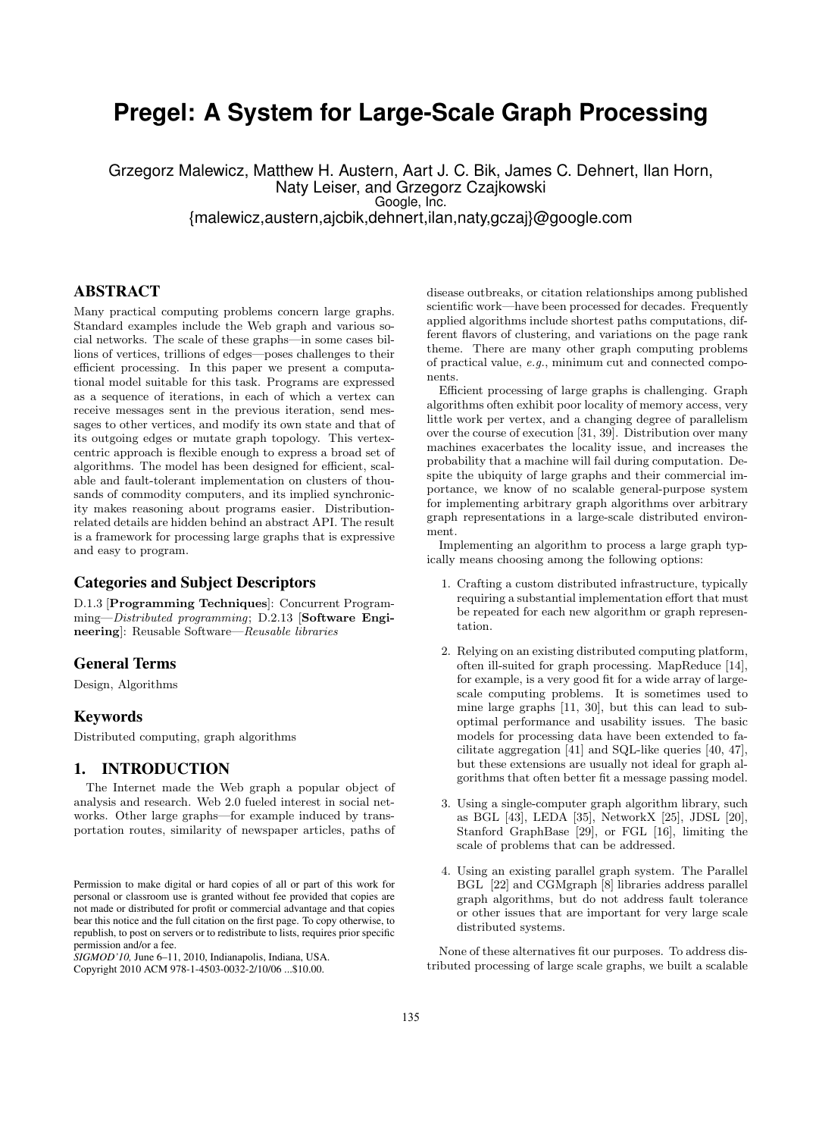# **Pregel: A System for Large-Scale Graph Processing**

Grzegorz Malewicz, Matthew H. Austern, Aart J. C. Bik, James C. Dehnert, Ilan Horn, Naty Leiser, and Grzegorz Czajkowski Google, Inc. {malewicz,austern,ajcbik,dehnert,ilan,naty,gczaj}@google.com

ABSTRACT

Many practical computing problems concern large graphs. Standard examples include the Web graph and various social networks. The scale of these graphs—in some cases billions of vertices, trillions of edges—poses challenges to their efficient processing. In this paper we present a computational model suitable for this task. Programs are expressed as a sequence of iterations, in each of which a vertex can receive messages sent in the previous iteration, send messages to other vertices, and modify its own state and that of its outgoing edges or mutate graph topology. This vertexcentric approach is flexible enough to express a broad set of algorithms. The model has been designed for efficient, scalable and fault-tolerant implementation on clusters of thousands of commodity computers, and its implied synchronicity makes reasoning about programs easier. Distributionrelated details are hidden behind an abstract API. The result is a framework for processing large graphs that is expressive and easy to program.

# Categories and Subject Descriptors

D.1.3 [Programming Techniques]: Concurrent Programming—Distributed programming; D.2.13 [Software Engineering]: Reusable Software—Reusable libraries

# General Terms

Design, Algorithms

# Keywords

Distributed computing, graph algorithms

# 1. INTRODUCTION

The Internet made the Web graph a popular object of analysis and research. Web 2.0 fueled interest in social networks. Other large graphs—for example induced by transportation routes, similarity of newspaper articles, paths of

*SIGMOD'10,* June 6–11, 2010, Indianapolis, Indiana, USA.

Copyright 2010 ACM 978-1-4503-0032-2/10/06 ...\$10.00.

disease outbreaks, or citation relationships among published scientific work—have been processed for decades. Frequently applied algorithms include shortest paths computations, different flavors of clustering, and variations on the page rank theme. There are many other graph computing problems of practical value, e.g., minimum cut and connected components.

Efficient processing of large graphs is challenging. Graph algorithms often exhibit poor locality of memory access, very little work per vertex, and a changing degree of parallelism over the course of execution [31, 39]. Distribution over many machines exacerbates the locality issue, and increases the probability that a machine will fail during computation. Despite the ubiquity of large graphs and their commercial importance, we know of no scalable general-purpose system for implementing arbitrary graph algorithms over arbitrary graph representations in a large-scale distributed environment.

Implementing an algorithm to process a large graph typically means choosing among the following options:

- 1. Crafting a custom distributed infrastructure, typically requiring a substantial implementation effort that must be repeated for each new algorithm or graph representation.
- 2. Relying on an existing distributed computing platform, often ill-suited for graph processing. MapReduce [14], for example, is a very good fit for a wide array of largescale computing problems. It is sometimes used to mine large graphs [11, 30], but this can lead to suboptimal performance and usability issues. The basic models for processing data have been extended to facilitate aggregation [41] and SQL-like queries [40, 47], but these extensions are usually not ideal for graph algorithms that often better fit a message passing model.
- 3. Using a single-computer graph algorithm library, such as BGL [43], LEDA [35], NetworkX [25], JDSL [20], Stanford GraphBase [29], or FGL [16], limiting the scale of problems that can be addressed.
- 4. Using an existing parallel graph system. The Parallel BGL [22] and CGMgraph [8] libraries address parallel graph algorithms, but do not address fault tolerance or other issues that are important for very large scale distributed systems.

None of these alternatives fit our purposes. To address distributed processing of large scale graphs, we built a scalable

Permission to make digital or hard copies of all or part of this work for personal or classroom use is granted without fee provided that copies are not made or distributed for profit or commercial advantage and that copies bear this notice and the full citation on the first page. To copy otherwise, to republish, to post on servers or to redistribute to lists, requires prior specific permission and/or a fee.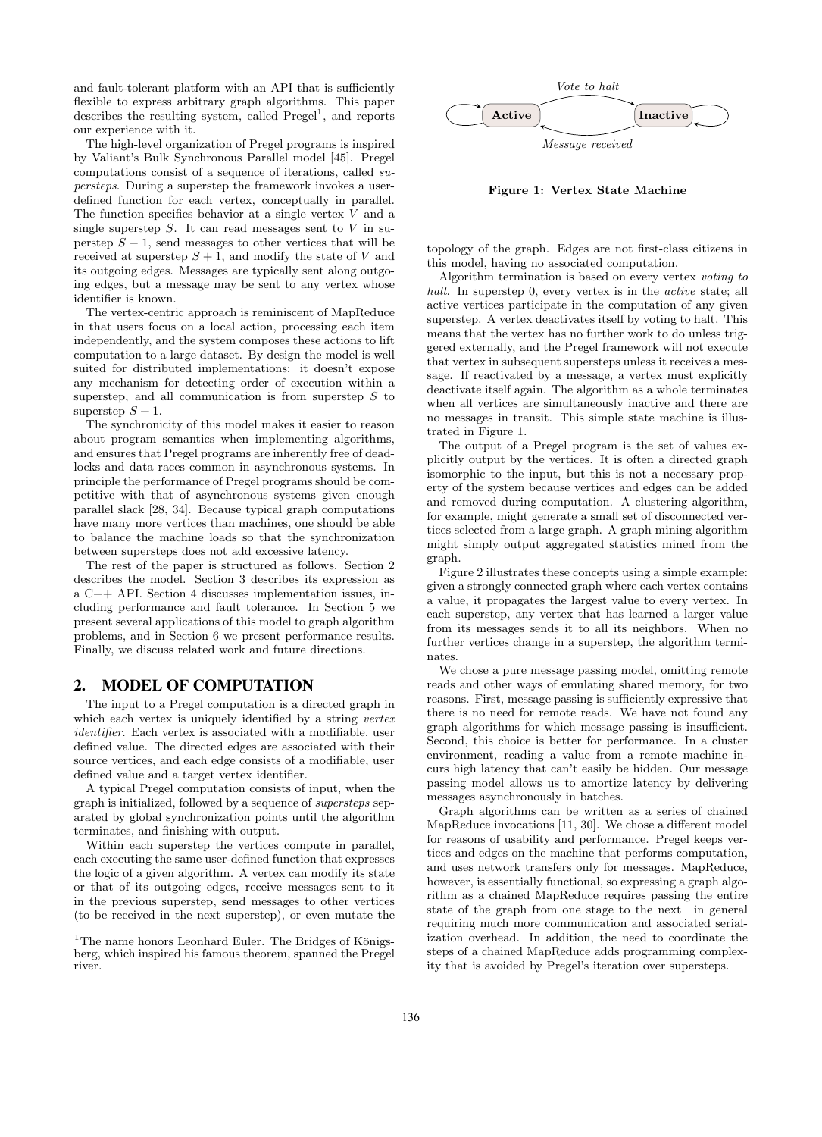and fault-tolerant platform with an API that is sufficiently flexible to express arbitrary graph algorithms. This paper describes the resulting system, called  $Pregel<sup>1</sup>$ , and reports our experience with it.

The high-level organization of Pregel programs is inspired by Valiant's Bulk Synchronous Parallel model [45]. Pregel computations consist of a sequence of iterations, called supersteps. During a superstep the framework invokes a userdefined function for each vertex, conceptually in parallel. The function specifies behavior at a single vertex  $V$  and a single superstep  $S$ . It can read messages sent to  $V$  in superstep  $S - 1$ , send messages to other vertices that will be received at superstep  $S + 1$ , and modify the state of V and its outgoing edges. Messages are typically sent along outgoing edges, but a message may be sent to any vertex whose identifier is known.

The vertex-centric approach is reminiscent of MapReduce in that users focus on a local action, processing each item independently, and the system composes these actions to lift computation to a large dataset. By design the model is well suited for distributed implementations: it doesn't expose any mechanism for detecting order of execution within a superstep, and all communication is from superstep  $S$  to superstep  $S + 1$ .

The synchronicity of this model makes it easier to reason about program semantics when implementing algorithms, and ensures that Pregel programs are inherently free of deadlocks and data races common in asynchronous systems. In principle the performance of Pregel programs should be competitive with that of asynchronous systems given enough parallel slack [28, 34]. Because typical graph computations have many more vertices than machines, one should be able to balance the machine loads so that the synchronization between supersteps does not add excessive latency.

The rest of the paper is structured as follows. Section 2 describes the model. Section 3 describes its expression as a C++ API. Section 4 discusses implementation issues, including performance and fault tolerance. In Section 5 we present several applications of this model to graph algorithm problems, and in Section 6 we present performance results. Finally, we discuss related work and future directions.

# 2. MODEL OF COMPUTATION

The input to a Pregel computation is a directed graph in which each vertex is uniquely identified by a string *vertex* identifier. Each vertex is associated with a modifiable, user defined value. The directed edges are associated with their source vertices, and each edge consists of a modifiable, user defined value and a target vertex identifier.

A typical Pregel computation consists of input, when the graph is initialized, followed by a sequence of supersteps separated by global synchronization points until the algorithm terminates, and finishing with output.

Within each superstep the vertices compute in parallel, each executing the same user-defined function that expresses the logic of a given algorithm. A vertex can modify its state or that of its outgoing edges, receive messages sent to it in the previous superstep, send messages to other vertices (to be received in the next superstep), or even mutate the



Figure 1: Vertex State Machine

topology of the graph. Edges are not first-class citizens in this model, having no associated computation.

Algorithm termination is based on every vertex voting to halt. In superstep 0, every vertex is in the *active* state; all active vertices participate in the computation of any given superstep. A vertex deactivates itself by voting to halt. This means that the vertex has no further work to do unless triggered externally, and the Pregel framework will not execute that vertex in subsequent supersteps unless it receives a message. If reactivated by a message, a vertex must explicitly deactivate itself again. The algorithm as a whole terminates when all vertices are simultaneously inactive and there are no messages in transit. This simple state machine is illustrated in Figure 1.

The output of a Pregel program is the set of values explicitly output by the vertices. It is often a directed graph isomorphic to the input, but this is not a necessary property of the system because vertices and edges can be added and removed during computation. A clustering algorithm, for example, might generate a small set of disconnected vertices selected from a large graph. A graph mining algorithm might simply output aggregated statistics mined from the graph.

Figure 2 illustrates these concepts using a simple example: given a strongly connected graph where each vertex contains a value, it propagates the largest value to every vertex. In each superstep, any vertex that has learned a larger value from its messages sends it to all its neighbors. When no further vertices change in a superstep, the algorithm terminates.

We chose a pure message passing model, omitting remote reads and other ways of emulating shared memory, for two reasons. First, message passing is sufficiently expressive that there is no need for remote reads. We have not found any graph algorithms for which message passing is insufficient. Second, this choice is better for performance. In a cluster environment, reading a value from a remote machine incurs high latency that can't easily be hidden. Our message passing model allows us to amortize latency by delivering messages asynchronously in batches.

Graph algorithms can be written as a series of chained MapReduce invocations [11, 30]. We chose a different model for reasons of usability and performance. Pregel keeps vertices and edges on the machine that performs computation, and uses network transfers only for messages. MapReduce, however, is essentially functional, so expressing a graph algorithm as a chained MapReduce requires passing the entire state of the graph from one stage to the next—in general requiring much more communication and associated serialization overhead. In addition, the need to coordinate the steps of a chained MapReduce adds programming complexity that is avoided by Pregel's iteration over supersteps.

 $1$ The name honors Leonhard Euler. The Bridges of Königsberg, which inspired his famous theorem, spanned the Pregel river.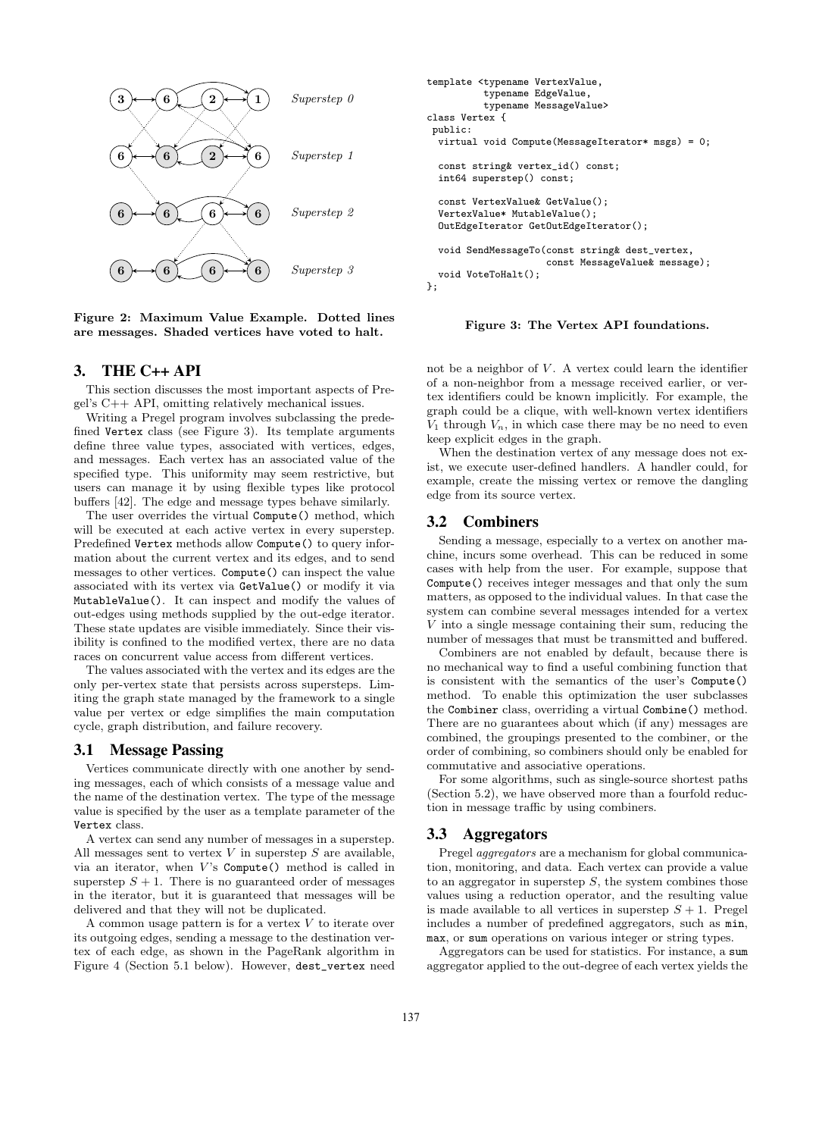

Figure 2: Maximum Value Example. Dotted lines are messages. Shaded vertices have voted to halt.

# 3. THE C++ API

This section discusses the most important aspects of Pregel's C++ API, omitting relatively mechanical issues.

Writing a Pregel program involves subclassing the predefined Vertex class (see Figure 3). Its template arguments define three value types, associated with vertices, edges, and messages. Each vertex has an associated value of the specified type. This uniformity may seem restrictive, but users can manage it by using flexible types like protocol buffers [42]. The edge and message types behave similarly.

The user overrides the virtual Compute() method, which will be executed at each active vertex in every superstep. Predefined Vertex methods allow Compute() to query information about the current vertex and its edges, and to send messages to other vertices. Compute() can inspect the value associated with its vertex via GetValue() or modify it via MutableValue(). It can inspect and modify the values of out-edges using methods supplied by the out-edge iterator. These state updates are visible immediately. Since their visibility is confined to the modified vertex, there are no data races on concurrent value access from different vertices.

The values associated with the vertex and its edges are the only per-vertex state that persists across supersteps. Limiting the graph state managed by the framework to a single value per vertex or edge simplifies the main computation cycle, graph distribution, and failure recovery.

#### 3.1 Message Passing

Vertices communicate directly with one another by sending messages, each of which consists of a message value and the name of the destination vertex. The type of the message value is specified by the user as a template parameter of the Vertex class.

A vertex can send any number of messages in a superstep. All messages sent to vertex  $V$  in superstep  $S$  are available, via an iterator, when  $V$ 's Compute() method is called in superstep  $S + 1$ . There is no guaranteed order of messages in the iterator, but it is guaranteed that messages will be delivered and that they will not be duplicated.

A common usage pattern is for a vertex V to iterate over its outgoing edges, sending a message to the destination vertex of each edge, as shown in the PageRank algorithm in Figure 4 (Section 5.1 below). However, dest\_vertex need

```
template <typename VertexValue,
          typename EdgeValue,
          typename MessageValue>
class Vertex {
 public:
  virtual void Compute(MessageIterator* msgs) = 0;
  const string& vertex_id() const;
  int64 superstep() const;
  const VertexValue& GetValue();
  VertexValue* MutableValue();
  OutEdgeIterator GetOutEdgeIterator();
  void SendMessageTo(const string& dest_vertex,
                     const MessageValue& message);
  void VoteToHalt();
};
```
Figure 3: The Vertex API foundations.

not be a neighbor of  $V$ . A vertex could learn the identifier of a non-neighbor from a message received earlier, or vertex identifiers could be known implicitly. For example, the graph could be a clique, with well-known vertex identifiers  $V_1$  through  $V_n$ , in which case there may be no need to even keep explicit edges in the graph.

When the destination vertex of any message does not exist, we execute user-defined handlers. A handler could, for example, create the missing vertex or remove the dangling edge from its source vertex.

# 3.2 Combiners

Sending a message, especially to a vertex on another machine, incurs some overhead. This can be reduced in some cases with help from the user. For example, suppose that Compute() receives integer messages and that only the sum matters, as opposed to the individual values. In that case the system can combine several messages intended for a vertex V into a single message containing their sum, reducing the number of messages that must be transmitted and buffered.

Combiners are not enabled by default, because there is no mechanical way to find a useful combining function that is consistent with the semantics of the user's Compute() method. To enable this optimization the user subclasses the Combiner class, overriding a virtual Combine() method. There are no guarantees about which (if any) messages are combined, the groupings presented to the combiner, or the order of combining, so combiners should only be enabled for commutative and associative operations.

For some algorithms, such as single-source shortest paths (Section 5.2), we have observed more than a fourfold reduction in message traffic by using combiners.

## 3.3 Aggregators

Pregel aggregators are a mechanism for global communication, monitoring, and data. Each vertex can provide a value to an aggregator in superstep  $S$ , the system combines those values using a reduction operator, and the resulting value is made available to all vertices in superstep  $S + 1$ . Pregel includes a number of predefined aggregators, such as min, max, or sum operations on various integer or string types.

Aggregators can be used for statistics. For instance, a sum aggregator applied to the out-degree of each vertex yields the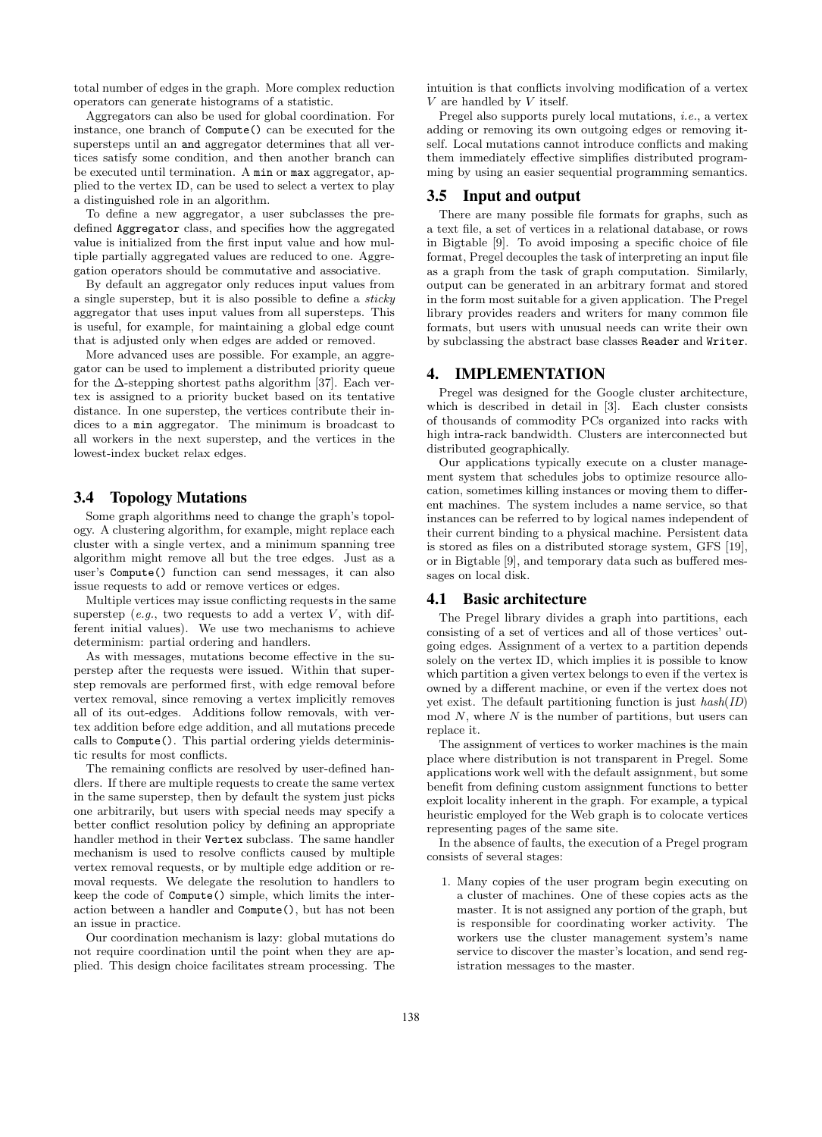total number of edges in the graph. More complex reduction operators can generate histograms of a statistic.

Aggregators can also be used for global coordination. For instance, one branch of Compute() can be executed for the supersteps until an and aggregator determines that all vertices satisfy some condition, and then another branch can be executed until termination. A min or max aggregator, applied to the vertex ID, can be used to select a vertex to play a distinguished role in an algorithm.

To define a new aggregator, a user subclasses the predefined Aggregator class, and specifies how the aggregated value is initialized from the first input value and how multiple partially aggregated values are reduced to one. Aggregation operators should be commutative and associative.

By default an aggregator only reduces input values from a single superstep, but it is also possible to define a  $\textit{sticky}$ aggregator that uses input values from all supersteps. This is useful, for example, for maintaining a global edge count that is adjusted only when edges are added or removed.

More advanced uses are possible. For example, an aggregator can be used to implement a distributed priority queue for the  $\Delta$ -stepping shortest paths algorithm [37]. Each vertex is assigned to a priority bucket based on its tentative distance. In one superstep, the vertices contribute their indices to a min aggregator. The minimum is broadcast to all workers in the next superstep, and the vertices in the lowest-index bucket relax edges.

# 3.4 Topology Mutations

Some graph algorithms need to change the graph's topology. A clustering algorithm, for example, might replace each cluster with a single vertex, and a minimum spanning tree algorithm might remove all but the tree edges. Just as a user's Compute() function can send messages, it can also issue requests to add or remove vertices or edges.

Multiple vertices may issue conflicting requests in the same superstep (e.g., two requests to add a vertex  $V$ , with different initial values). We use two mechanisms to achieve determinism: partial ordering and handlers.

As with messages, mutations become effective in the superstep after the requests were issued. Within that superstep removals are performed first, with edge removal before vertex removal, since removing a vertex implicitly removes all of its out-edges. Additions follow removals, with vertex addition before edge addition, and all mutations precede calls to Compute(). This partial ordering yields deterministic results for most conflicts.

The remaining conflicts are resolved by user-defined handlers. If there are multiple requests to create the same vertex in the same superstep, then by default the system just picks one arbitrarily, but users with special needs may specify a better conflict resolution policy by defining an appropriate handler method in their Vertex subclass. The same handler mechanism is used to resolve conflicts caused by multiple vertex removal requests, or by multiple edge addition or removal requests. We delegate the resolution to handlers to keep the code of Compute() simple, which limits the interaction between a handler and Compute(), but has not been an issue in practice.

Our coordination mechanism is lazy: global mutations do not require coordination until the point when they are applied. This design choice facilitates stream processing. The intuition is that conflicts involving modification of a vertex V are handled by V itself.

Pregel also supports purely local mutations, i.e., a vertex adding or removing its own outgoing edges or removing itself. Local mutations cannot introduce conflicts and making them immediately effective simplifies distributed programming by using an easier sequential programming semantics.

## 3.5 Input and output

There are many possible file formats for graphs, such as a text file, a set of vertices in a relational database, or rows in Bigtable [9]. To avoid imposing a specific choice of file format, Pregel decouples the task of interpreting an input file as a graph from the task of graph computation. Similarly, output can be generated in an arbitrary format and stored in the form most suitable for a given application. The Pregel library provides readers and writers for many common file formats, but users with unusual needs can write their own by subclassing the abstract base classes Reader and Writer.

# 4. IMPLEMENTATION

Pregel was designed for the Google cluster architecture, which is described in detail in [3]. Each cluster consists of thousands of commodity PCs organized into racks with high intra-rack bandwidth. Clusters are interconnected but distributed geographically.

Our applications typically execute on a cluster management system that schedules jobs to optimize resource allocation, sometimes killing instances or moving them to different machines. The system includes a name service, so that instances can be referred to by logical names independent of their current binding to a physical machine. Persistent data is stored as files on a distributed storage system, GFS [19], or in Bigtable [9], and temporary data such as buffered messages on local disk.

#### 4.1 Basic architecture

The Pregel library divides a graph into partitions, each consisting of a set of vertices and all of those vertices' outgoing edges. Assignment of a vertex to a partition depends solely on the vertex ID, which implies it is possible to know which partition a given vertex belongs to even if the vertex is owned by a different machine, or even if the vertex does not yet exist. The default partitioning function is just  $hash(ID)$  $mod N$ , where  $N$  is the number of partitions, but users can replace it.

The assignment of vertices to worker machines is the main place where distribution is not transparent in Pregel. Some applications work well with the default assignment, but some benefit from defining custom assignment functions to better exploit locality inherent in the graph. For example, a typical heuristic employed for the Web graph is to colocate vertices representing pages of the same site.

In the absence of faults, the execution of a Pregel program consists of several stages:

1. Many copies of the user program begin executing on a cluster of machines. One of these copies acts as the master. It is not assigned any portion of the graph, but is responsible for coordinating worker activity. The workers use the cluster management system's name service to discover the master's location, and send registration messages to the master.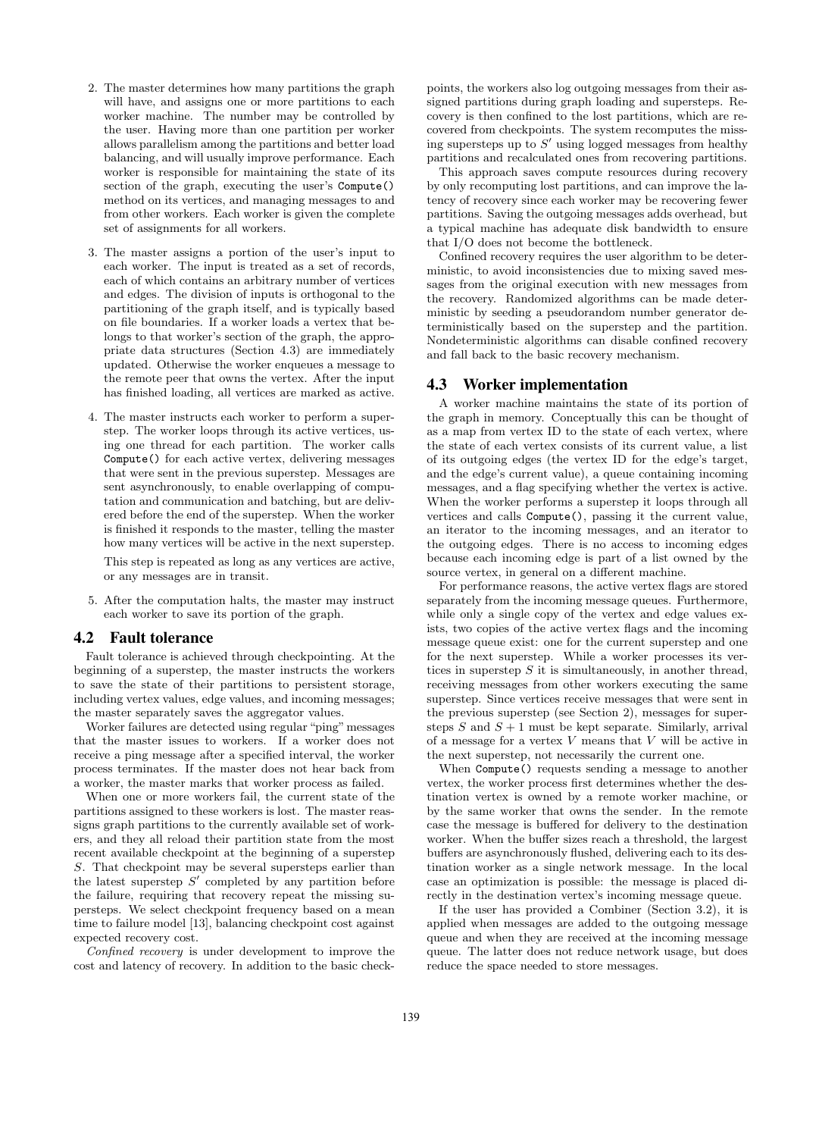- 2. The master determines how many partitions the graph will have, and assigns one or more partitions to each worker machine. The number may be controlled by the user. Having more than one partition per worker allows parallelism among the partitions and better load balancing, and will usually improve performance. Each worker is responsible for maintaining the state of its section of the graph, executing the user's Compute() method on its vertices, and managing messages to and from other workers. Each worker is given the complete set of assignments for all workers.
- 3. The master assigns a portion of the user's input to each worker. The input is treated as a set of records, each of which contains an arbitrary number of vertices and edges. The division of inputs is orthogonal to the partitioning of the graph itself, and is typically based on file boundaries. If a worker loads a vertex that belongs to that worker's section of the graph, the appropriate data structures (Section 4.3) are immediately updated. Otherwise the worker enqueues a message to the remote peer that owns the vertex. After the input has finished loading, all vertices are marked as active.
- 4. The master instructs each worker to perform a superstep. The worker loops through its active vertices, using one thread for each partition. The worker calls Compute() for each active vertex, delivering messages that were sent in the previous superstep. Messages are sent asynchronously, to enable overlapping of computation and communication and batching, but are delivered before the end of the superstep. When the worker is finished it responds to the master, telling the master how many vertices will be active in the next superstep.

This step is repeated as long as any vertices are active, or any messages are in transit.

5. After the computation halts, the master may instruct each worker to save its portion of the graph.

#### 4.2 Fault tolerance

Fault tolerance is achieved through checkpointing. At the beginning of a superstep, the master instructs the workers to save the state of their partitions to persistent storage, including vertex values, edge values, and incoming messages; the master separately saves the aggregator values.

Worker failures are detected using regular "ping" messages that the master issues to workers. If a worker does not receive a ping message after a specified interval, the worker process terminates. If the master does not hear back from a worker, the master marks that worker process as failed.

When one or more workers fail, the current state of the partitions assigned to these workers is lost. The master reassigns graph partitions to the currently available set of workers, and they all reload their partition state from the most recent available checkpoint at the beginning of a superstep S. That checkpoint may be several supersteps earlier than the latest superstep  $S'$  completed by any partition before the failure, requiring that recovery repeat the missing supersteps. We select checkpoint frequency based on a mean time to failure model [13], balancing checkpoint cost against expected recovery cost.

Confined recovery is under development to improve the cost and latency of recovery. In addition to the basic checkpoints, the workers also log outgoing messages from their assigned partitions during graph loading and supersteps. Recovery is then confined to the lost partitions, which are recovered from checkpoints. The system recomputes the missing supersteps up to  $S'$  using logged messages from healthy partitions and recalculated ones from recovering partitions.

This approach saves compute resources during recovery by only recomputing lost partitions, and can improve the latency of recovery since each worker may be recovering fewer partitions. Saving the outgoing messages adds overhead, but a typical machine has adequate disk bandwidth to ensure that I/O does not become the bottleneck.

Confined recovery requires the user algorithm to be deterministic, to avoid inconsistencies due to mixing saved messages from the original execution with new messages from the recovery. Randomized algorithms can be made deterministic by seeding a pseudorandom number generator deterministically based on the superstep and the partition. Nondeterministic algorithms can disable confined recovery and fall back to the basic recovery mechanism.

#### 4.3 Worker implementation

A worker machine maintains the state of its portion of the graph in memory. Conceptually this can be thought of as a map from vertex ID to the state of each vertex, where the state of each vertex consists of its current value, a list of its outgoing edges (the vertex ID for the edge's target, and the edge's current value), a queue containing incoming messages, and a flag specifying whether the vertex is active. When the worker performs a superstep it loops through all vertices and calls Compute(), passing it the current value, an iterator to the incoming messages, and an iterator to the outgoing edges. There is no access to incoming edges because each incoming edge is part of a list owned by the source vertex, in general on a different machine.

For performance reasons, the active vertex flags are stored separately from the incoming message queues. Furthermore, while only a single copy of the vertex and edge values exists, two copies of the active vertex flags and the incoming message queue exist: one for the current superstep and one for the next superstep. While a worker processes its vertices in superstep  $S$  it is simultaneously, in another thread, receiving messages from other workers executing the same superstep. Since vertices receive messages that were sent in the previous superstep (see Section 2), messages for supersteps  $S$  and  $S+1$  must be kept separate. Similarly, arrival of a message for a vertex  $V$  means that  $V$  will be active in the next superstep, not necessarily the current one.

When Compute() requests sending a message to another vertex, the worker process first determines whether the destination vertex is owned by a remote worker machine, or by the same worker that owns the sender. In the remote case the message is buffered for delivery to the destination worker. When the buffer sizes reach a threshold, the largest buffers are asynchronously flushed, delivering each to its destination worker as a single network message. In the local case an optimization is possible: the message is placed directly in the destination vertex's incoming message queue.

If the user has provided a Combiner (Section 3.2), it is applied when messages are added to the outgoing message queue and when they are received at the incoming message queue. The latter does not reduce network usage, but does reduce the space needed to store messages.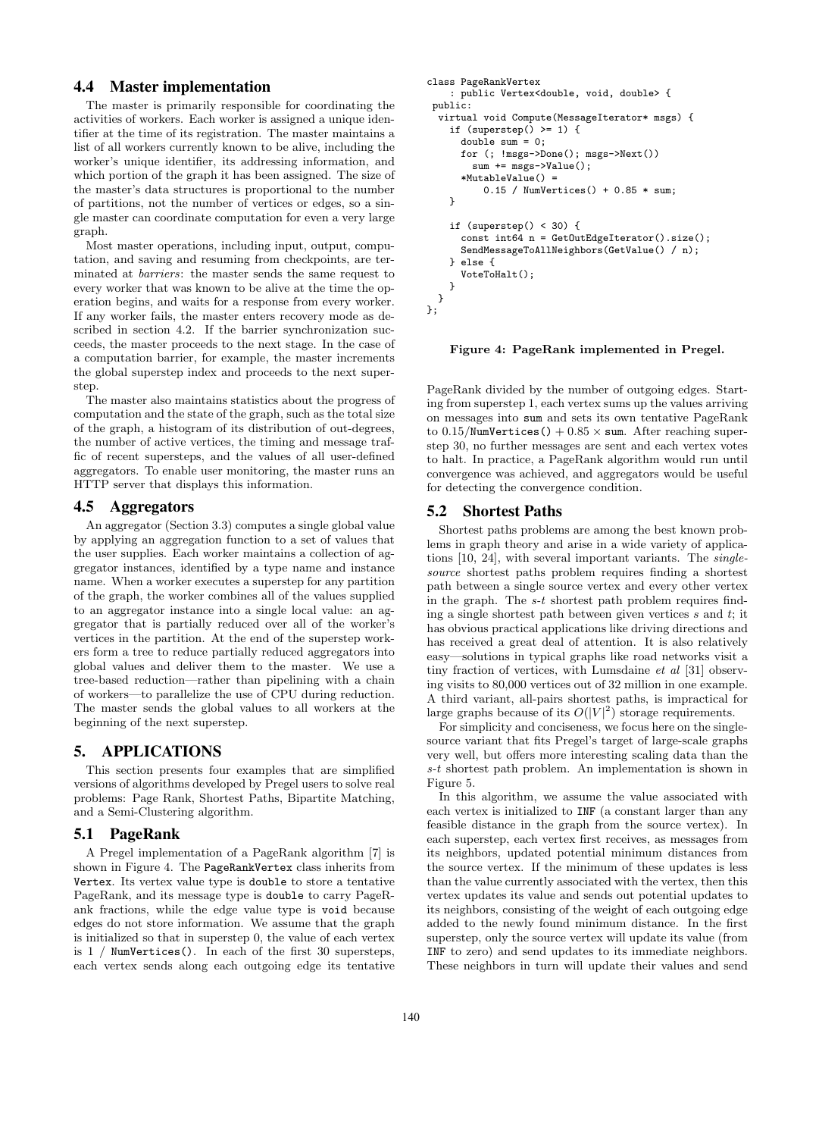## 4.4 Master implementation

The master is primarily responsible for coordinating the activities of workers. Each worker is assigned a unique identifier at the time of its registration. The master maintains a list of all workers currently known to be alive, including the worker's unique identifier, its addressing information, and which portion of the graph it has been assigned. The size of the master's data structures is proportional to the number of partitions, not the number of vertices or edges, so a single master can coordinate computation for even a very large graph.

Most master operations, including input, output, computation, and saving and resuming from checkpoints, are terminated at barriers: the master sends the same request to every worker that was known to be alive at the time the operation begins, and waits for a response from every worker. If any worker fails, the master enters recovery mode as described in section 4.2. If the barrier synchronization succeeds, the master proceeds to the next stage. In the case of a computation barrier, for example, the master increments the global superstep index and proceeds to the next superstep.

The master also maintains statistics about the progress of computation and the state of the graph, such as the total size of the graph, a histogram of its distribution of out-degrees, the number of active vertices, the timing and message traffic of recent supersteps, and the values of all user-defined aggregators. To enable user monitoring, the master runs an HTTP server that displays this information.

# 4.5 Aggregators

An aggregator (Section 3.3) computes a single global value by applying an aggregation function to a set of values that the user supplies. Each worker maintains a collection of aggregator instances, identified by a type name and instance name. When a worker executes a superstep for any partition of the graph, the worker combines all of the values supplied to an aggregator instance into a single local value: an aggregator that is partially reduced over all of the worker's vertices in the partition. At the end of the superstep workers form a tree to reduce partially reduced aggregators into global values and deliver them to the master. We use a tree-based reduction—rather than pipelining with a chain of workers—to parallelize the use of CPU during reduction. The master sends the global values to all workers at the beginning of the next superstep.

# 5. APPLICATIONS

This section presents four examples that are simplified versions of algorithms developed by Pregel users to solve real problems: Page Rank, Shortest Paths, Bipartite Matching, and a Semi-Clustering algorithm.

# 5.1 PageRank

A Pregel implementation of a PageRank algorithm [7] is shown in Figure 4. The PageRankVertex class inherits from Vertex. Its vertex value type is double to store a tentative PageRank, and its message type is double to carry PageRank fractions, while the edge value type is void because edges do not store information. We assume that the graph is initialized so that in superstep 0, the value of each vertex is 1 / NumVertices(). In each of the first 30 supersteps, each vertex sends along each outgoing edge its tentative

```
class PageRankVertex
    : public Vertex<double, void, double> {
 public:
  virtual void Compute(MessageIterator* msgs) {
    if (superstep() \geq 1) {
      double sum = 0;
      for (; !msgs->Done(); msgs->Next())
        sum += msgs->Value();
      *MutableValue() =
          0.15 / NumVertices() + 0.85 * sum;
    }
    if (superstep() < 30) {
      const int64 n = GetOutEdgeIterator().size();
      SendMessageToAllNeighbors(GetValue() / n);
    } else {
      VoteToHalt();
    }
 }
};
```
Figure 4: PageRank implemented in Pregel.

PageRank divided by the number of outgoing edges. Starting from superstep 1, each vertex sums up the values arriving on messages into sum and sets its own tentative PageRank to  $0.15$ /NumVertices() +  $0.85 \times$  sum. After reaching superstep 30, no further messages are sent and each vertex votes to halt. In practice, a PageRank algorithm would run until convergence was achieved, and aggregators would be useful for detecting the convergence condition.

## 5.2 Shortest Paths

Shortest paths problems are among the best known problems in graph theory and arise in a wide variety of applications [10, 24], with several important variants. The singlesource shortest paths problem requires finding a shortest path between a single source vertex and every other vertex in the graph. The  $s-t$  shortest path problem requires finding a single shortest path between given vertices  $s$  and  $t$ ; it has obvious practical applications like driving directions and has received a great deal of attention. It is also relatively easy—solutions in typical graphs like road networks visit a tiny fraction of vertices, with Lumsdaine et al [31] observing visits to 80,000 vertices out of 32 million in one example. A third variant, all-pairs shortest paths, is impractical for large graphs because of its  $O(|V|^2)$  storage requirements.

For simplicity and conciseness, we focus here on the singlesource variant that fits Pregel's target of large-scale graphs very well, but offers more interesting scaling data than the s-t shortest path problem. An implementation is shown in Figure 5.

In this algorithm, we assume the value associated with each vertex is initialized to INF (a constant larger than any feasible distance in the graph from the source vertex). In each superstep, each vertex first receives, as messages from its neighbors, updated potential minimum distances from the source vertex. If the minimum of these updates is less than the value currently associated with the vertex, then this vertex updates its value and sends out potential updates to its neighbors, consisting of the weight of each outgoing edge added to the newly found minimum distance. In the first superstep, only the source vertex will update its value (from INF to zero) and send updates to its immediate neighbors. These neighbors in turn will update their values and send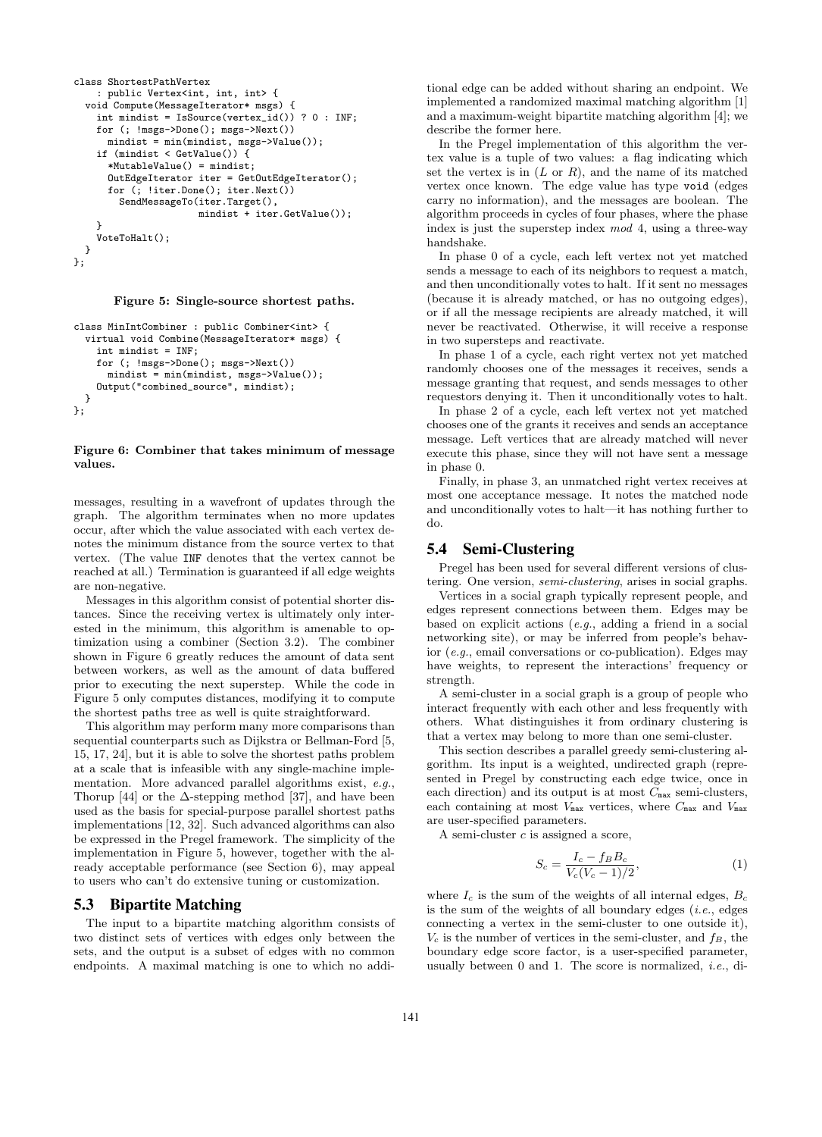```
class ShortestPathVertex
    : public Vertex<int, int, int> {
  void Compute(MessageIterator* msgs) {
    int mindist = IsSource(vertex_id()) ? 0 : INF;
    for (; !msgs->Done(); msgs->Next())
      mindist = min(mindist, msgs->Value());
    if (mindist < GetValue()) {
      *MutableValue() = mindist;
      OutEdgeIterator iter = GetOutEdgeIterator();
      for (; !iter.Done(); iter.Next())
        SendMessageTo(iter.Target(),
                      mindist + iter.GetValue());
    }
    VoteToHalt();
  }
};
```
Figure 5: Single-source shortest paths.

```
class MinIntCombiner : public Combiner<int> {
 virtual void Combine(MessageIterator* msgs) {
   int mindist = INF;
   for (; !msgs->Done(); msgs->Next())
     mindist = min(mindist, msgs->Value());
   Output("combined_source", mindist);
 }
};
```
#### Figure 6: Combiner that takes minimum of message values.

messages, resulting in a wavefront of updates through the graph. The algorithm terminates when no more updates occur, after which the value associated with each vertex denotes the minimum distance from the source vertex to that vertex. (The value INF denotes that the vertex cannot be reached at all.) Termination is guaranteed if all edge weights are non-negative.

Messages in this algorithm consist of potential shorter distances. Since the receiving vertex is ultimately only interested in the minimum, this algorithm is amenable to optimization using a combiner (Section 3.2). The combiner shown in Figure 6 greatly reduces the amount of data sent between workers, as well as the amount of data buffered prior to executing the next superstep. While the code in Figure 5 only computes distances, modifying it to compute the shortest paths tree as well is quite straightforward.

This algorithm may perform many more comparisons than sequential counterparts such as Dijkstra or Bellman-Ford [5, 15, 17, 24], but it is able to solve the shortest paths problem at a scale that is infeasible with any single-machine implementation. More advanced parallel algorithms exist, e.g., Thorup [44] or the  $\Delta$ -stepping method [37], and have been used as the basis for special-purpose parallel shortest paths implementations [12, 32]. Such advanced algorithms can also be expressed in the Pregel framework. The simplicity of the implementation in Figure 5, however, together with the already acceptable performance (see Section 6), may appeal to users who can't do extensive tuning or customization.

#### 5.3 Bipartite Matching

The input to a bipartite matching algorithm consists of two distinct sets of vertices with edges only between the sets, and the output is a subset of edges with no common endpoints. A maximal matching is one to which no additional edge can be added without sharing an endpoint. We implemented a randomized maximal matching algorithm [1] and a maximum-weight bipartite matching algorithm [4]; we describe the former here.

In the Pregel implementation of this algorithm the vertex value is a tuple of two values: a flag indicating which set the vertex is in  $(L \text{ or } R)$ , and the name of its matched vertex once known. The edge value has type void (edges carry no information), and the messages are boolean. The algorithm proceeds in cycles of four phases, where the phase index is just the superstep index mod 4, using a three-way handshake.

In phase 0 of a cycle, each left vertex not yet matched sends a message to each of its neighbors to request a match, and then unconditionally votes to halt. If it sent no messages (because it is already matched, or has no outgoing edges), or if all the message recipients are already matched, it will never be reactivated. Otherwise, it will receive a response in two supersteps and reactivate.

In phase 1 of a cycle, each right vertex not yet matched randomly chooses one of the messages it receives, sends a message granting that request, and sends messages to other requestors denying it. Then it unconditionally votes to halt.

In phase 2 of a cycle, each left vertex not yet matched chooses one of the grants it receives and sends an acceptance message. Left vertices that are already matched will never execute this phase, since they will not have sent a message in phase 0.

Finally, in phase 3, an unmatched right vertex receives at most one acceptance message. It notes the matched node and unconditionally votes to halt—it has nothing further to do.

#### 5.4 Semi-Clustering

Pregel has been used for several different versions of clustering. One version, semi-clustering, arises in social graphs.

Vertices in a social graph typically represent people, and edges represent connections between them. Edges may be based on explicit actions (e.g., adding a friend in a social networking site), or may be inferred from people's behavior (e.g., email conversations or co-publication). Edges may have weights, to represent the interactions' frequency or strength.

A semi-cluster in a social graph is a group of people who interact frequently with each other and less frequently with others. What distinguishes it from ordinary clustering is that a vertex may belong to more than one semi-cluster.

This section describes a parallel greedy semi-clustering algorithm. Its input is a weighted, undirected graph (represented in Pregel by constructing each edge twice, once in each direction) and its output is at most  $C_{\text{max}}$  semi-clusters, each containing at most  $V_{\text{max}}$  vertices, where  $C_{\text{max}}$  and  $V_{\text{max}}$ are user-specified parameters.

A semi-cluster  $c$  is assigned a score,

$$
S_c = \frac{I_c - f_B B_c}{V_c (V_c - 1)/2},\tag{1}
$$

where  $I_c$  is the sum of the weights of all internal edges,  $B_c$ is the sum of the weights of all boundary edges  $(i.e.,$  edges connecting a vertex in the semi-cluster to one outside it),  $V_c$  is the number of vertices in the semi-cluster, and  $f_B$ , the boundary edge score factor, is a user-specified parameter, usually between 0 and 1. The score is normalized, i.e., di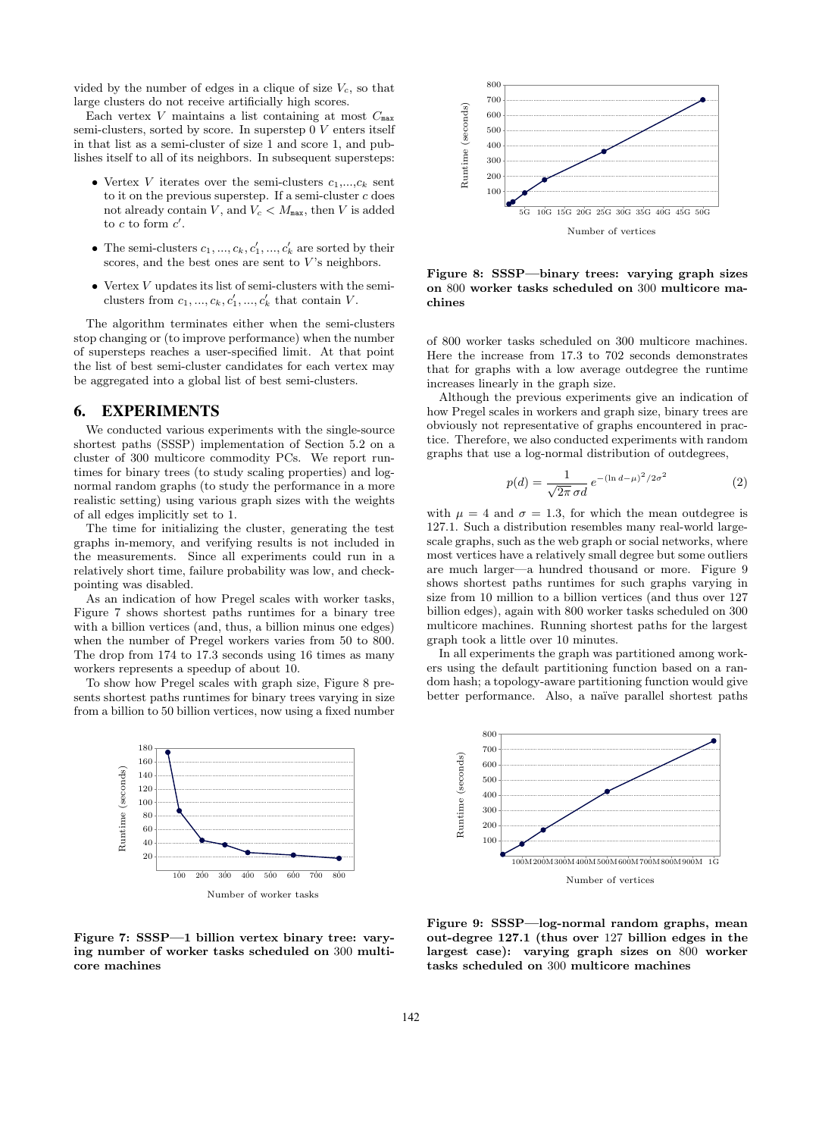vided by the number of edges in a clique of size  $V_c$ , so that large clusters do not receive artificially high scores.

Each vertex V maintains a list containing at most  $C_{\text{max}}$ semi-clusters, sorted by score. In superstep  $0 V$  enters itself in that list as a semi-cluster of size 1 and score 1, and publishes itself to all of its neighbors. In subsequent supersteps:

- Vertex V iterates over the semi-clusters  $c_1,...,c_k$  sent to it on the previous superstep. If a semi-cluster  $c$  does not already contain V, and  $V_c < M_{\text{max}}$ , then V is added to  $c$  to form  $c'$ .
- The semi-clusters  $c_1, ..., c_k, c'_1, ..., c'_k$  are sorted by their scores, and the best ones are sent to  $V$ 's neighbors.
- $\bullet$  Vertex V updates its list of semi-clusters with the semiclusters from  $c_1, ..., c_k, c'_1, ..., c'_k$  that contain V.

The algorithm terminates either when the semi-clusters stop changing or (to improve performance) when the number of supersteps reaches a user-specified limit. At that point the list of best semi-cluster candidates for each vertex may be aggregated into a global list of best semi-clusters.

#### 6. EXPERIMENTS

We conducted various experiments with the single-source shortest paths (SSSP) implementation of Section 5.2 on a cluster of 300 multicore commodity PCs. We report runtimes for binary trees (to study scaling properties) and lognormal random graphs (to study the performance in a more realistic setting) using various graph sizes with the weights of all edges implicitly set to 1.

The time for initializing the cluster, generating the test graphs in-memory, and verifying results is not included in the measurements. Since all experiments could run in a relatively short time, failure probability was low, and checkpointing was disabled.

As an indication of how Pregel scales with worker tasks, Figure 7 shows shortest paths runtimes for a binary tree with a billion vertices (and, thus, a billion minus one edges) when the number of Pregel workers varies from 50 to 800. The drop from 174 to 17.3 seconds using 16 times as many workers represents a speedup of about 10.

To show how Pregel scales with graph size, Figure 8 presents shortest paths runtimes for binary trees varying in size from a billion to 50 billion vertices, now using a fixed number



Figure 8: SSSP—binary trees: varying graph sizes on 800 worker tasks scheduled on 300 multicore machines

of 800 worker tasks scheduled on 300 multicore machines. Here the increase from 17.3 to 702 seconds demonstrates that for graphs with a low average outdegree the runtime increases linearly in the graph size.

Although the previous experiments give an indication of how Pregel scales in workers and graph size, binary trees are obviously not representative of graphs encountered in practice. Therefore, we also conducted experiments with random graphs that use a log-normal distribution of outdegrees,

$$
p(d) = \frac{1}{\sqrt{2\pi} \,\sigma d} \, e^{-(\ln d - \mu)^2 / 2\sigma^2} \tag{2}
$$

with  $\mu = 4$  and  $\sigma = 1.3$ , for which the mean outdegree is 127.1. Such a distribution resembles many real-world largescale graphs, such as the web graph or social networks, where most vertices have a relatively small degree but some outliers are much larger—a hundred thousand or more. Figure 9 shows shortest paths runtimes for such graphs varying in size from 10 million to a billion vertices (and thus over 127 billion edges), again with 800 worker tasks scheduled on 300 multicore machines. Running shortest paths for the largest graph took a little over 10 minutes.

In all experiments the graph was partitioned among workers using the default partitioning function based on a random hash; a topology-aware partitioning function would give better performance. Also, a naïve parallel shortest paths





Figure 7: SSSP—1 billion vertex binary tree: varying number of worker tasks scheduled on 300 multicore machines

Figure 9: SSSP—log-normal random graphs, mean out-degree 127.1 (thus over 127 billion edges in the largest case): varying graph sizes on 800 worker tasks scheduled on 300 multicore machines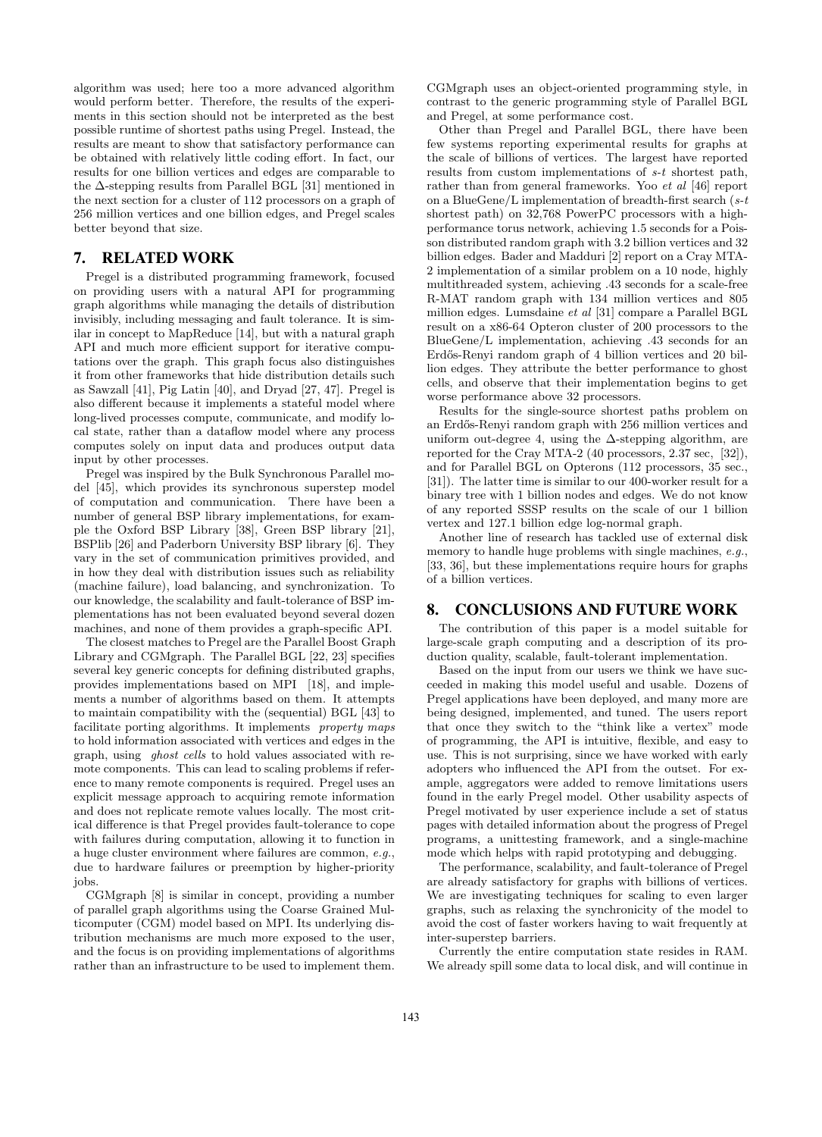algorithm was used; here too a more advanced algorithm would perform better. Therefore, the results of the experiments in this section should not be interpreted as the best possible runtime of shortest paths using Pregel. Instead, the results are meant to show that satisfactory performance can be obtained with relatively little coding effort. In fact, our results for one billion vertices and edges are comparable to the ∆-stepping results from Parallel BGL [31] mentioned in the next section for a cluster of 112 processors on a graph of 256 million vertices and one billion edges, and Pregel scales better beyond that size.

# 7. RELATED WORK

Pregel is a distributed programming framework, focused on providing users with a natural API for programming graph algorithms while managing the details of distribution invisibly, including messaging and fault tolerance. It is similar in concept to MapReduce [14], but with a natural graph API and much more efficient support for iterative computations over the graph. This graph focus also distinguishes it from other frameworks that hide distribution details such as Sawzall [41], Pig Latin [40], and Dryad [27, 47]. Pregel is also different because it implements a stateful model where long-lived processes compute, communicate, and modify local state, rather than a dataflow model where any process computes solely on input data and produces output data input by other processes.

Pregel was inspired by the Bulk Synchronous Parallel model [45], which provides its synchronous superstep model of computation and communication. There have been a number of general BSP library implementations, for example the Oxford BSP Library [38], Green BSP library [21], BSPlib [26] and Paderborn University BSP library [6]. They vary in the set of communication primitives provided, and in how they deal with distribution issues such as reliability (machine failure), load balancing, and synchronization. To our knowledge, the scalability and fault-tolerance of BSP implementations has not been evaluated beyond several dozen machines, and none of them provides a graph-specific API.

The closest matches to Pregel are the Parallel Boost Graph Library and CGMgraph. The Parallel BGL [22, 23] specifies several key generic concepts for defining distributed graphs, provides implementations based on MPI [18], and implements a number of algorithms based on them. It attempts to maintain compatibility with the (sequential) BGL [43] to facilitate porting algorithms. It implements *property maps* to hold information associated with vertices and edges in the graph, using ghost cells to hold values associated with remote components. This can lead to scaling problems if reference to many remote components is required. Pregel uses an explicit message approach to acquiring remote information and does not replicate remote values locally. The most critical difference is that Pregel provides fault-tolerance to cope with failures during computation, allowing it to function in a huge cluster environment where failures are common, e.g., due to hardware failures or preemption by higher-priority jobs.

CGMgraph [8] is similar in concept, providing a number of parallel graph algorithms using the Coarse Grained Multicomputer (CGM) model based on MPI. Its underlying distribution mechanisms are much more exposed to the user, and the focus is on providing implementations of algorithms rather than an infrastructure to be used to implement them. CGMgraph uses an object-oriented programming style, in contrast to the generic programming style of Parallel BGL and Pregel, at some performance cost.

Other than Pregel and Parallel BGL, there have been few systems reporting experimental results for graphs at the scale of billions of vertices. The largest have reported results from custom implementations of s-t shortest path, rather than from general frameworks. Yoo et al [46] report on a BlueGene/L implementation of breadth-first search  $(s-t)$ shortest path) on 32,768 PowerPC processors with a highperformance torus network, achieving 1.5 seconds for a Poisson distributed random graph with 3.2 billion vertices and 32 billion edges. Bader and Madduri [2] report on a Cray MTA-2 implementation of a similar problem on a 10 node, highly multithreaded system, achieving .43 seconds for a scale-free R-MAT random graph with 134 million vertices and 805 million edges. Lumsdaine et al [31] compare a Parallel BGL result on a x86-64 Opteron cluster of 200 processors to the BlueGene/L implementation, achieving .43 seconds for an Erdős-Renyi random graph of 4 billion vertices and 20 billion edges. They attribute the better performance to ghost cells, and observe that their implementation begins to get worse performance above 32 processors.

Results for the single-source shortest paths problem on an Erd˝os-Renyi random graph with 256 million vertices and uniform out-degree 4, using the  $\Delta$ -stepping algorithm, are reported for the Cray MTA-2 (40 processors, 2.37 sec, [32]), and for Parallel BGL on Opterons (112 processors, 35 sec., [31]). The latter time is similar to our 400-worker result for a binary tree with 1 billion nodes and edges. We do not know of any reported SSSP results on the scale of our 1 billion vertex and 127.1 billion edge log-normal graph.

Another line of research has tackled use of external disk memory to handle huge problems with single machines, e.g., [33, 36], but these implementations require hours for graphs of a billion vertices.

# 8. CONCLUSIONS AND FUTURE WORK

The contribution of this paper is a model suitable for large-scale graph computing and a description of its production quality, scalable, fault-tolerant implementation.

Based on the input from our users we think we have succeeded in making this model useful and usable. Dozens of Pregel applications have been deployed, and many more are being designed, implemented, and tuned. The users report that once they switch to the "think like a vertex" mode of programming, the API is intuitive, flexible, and easy to use. This is not surprising, since we have worked with early adopters who influenced the API from the outset. For example, aggregators were added to remove limitations users found in the early Pregel model. Other usability aspects of Pregel motivated by user experience include a set of status pages with detailed information about the progress of Pregel programs, a unittesting framework, and a single-machine mode which helps with rapid prototyping and debugging.

The performance, scalability, and fault-tolerance of Pregel are already satisfactory for graphs with billions of vertices. We are investigating techniques for scaling to even larger graphs, such as relaxing the synchronicity of the model to avoid the cost of faster workers having to wait frequently at inter-superstep barriers.

Currently the entire computation state resides in RAM. We already spill some data to local disk, and will continue in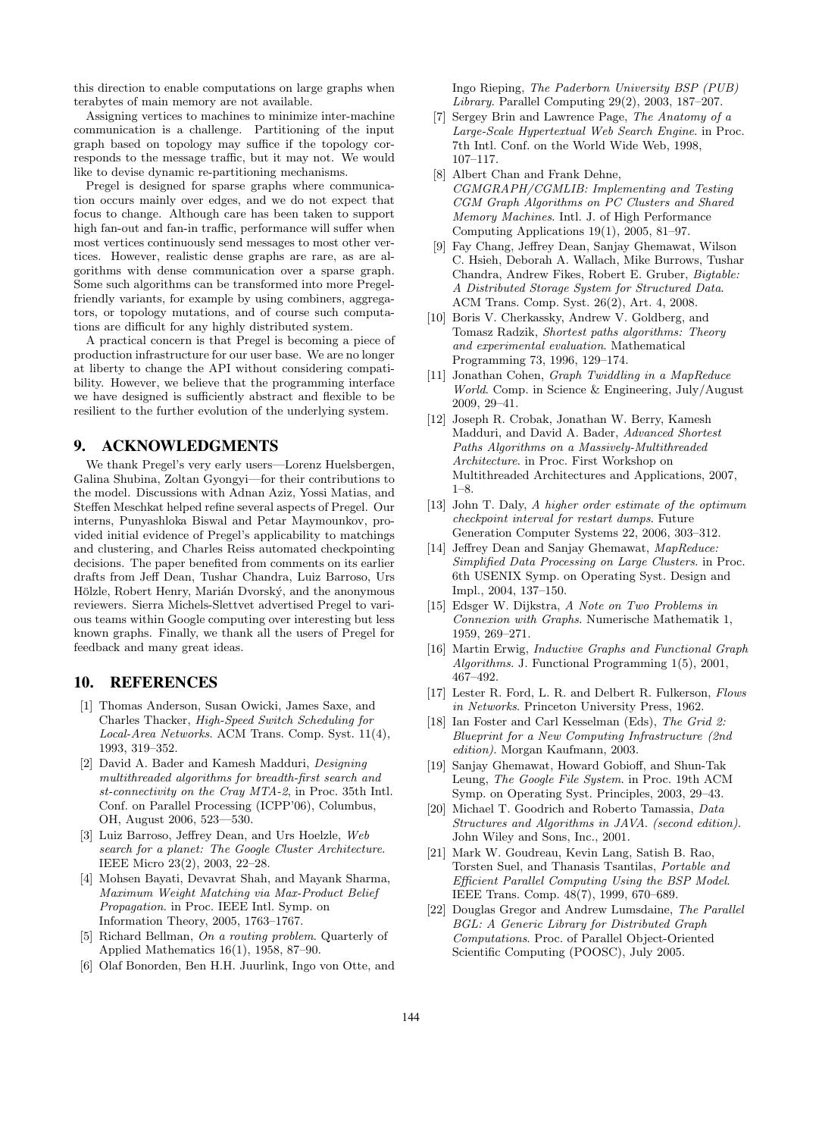this direction to enable computations on large graphs when terabytes of main memory are not available.

Assigning vertices to machines to minimize inter-machine communication is a challenge. Partitioning of the input graph based on topology may suffice if the topology corresponds to the message traffic, but it may not. We would like to devise dynamic re-partitioning mechanisms.

Pregel is designed for sparse graphs where communication occurs mainly over edges, and we do not expect that focus to change. Although care has been taken to support high fan-out and fan-in traffic, performance will suffer when most vertices continuously send messages to most other vertices. However, realistic dense graphs are rare, as are algorithms with dense communication over a sparse graph. Some such algorithms can be transformed into more Pregelfriendly variants, for example by using combiners, aggregators, or topology mutations, and of course such computations are difficult for any highly distributed system.

A practical concern is that Pregel is becoming a piece of production infrastructure for our user base. We are no longer at liberty to change the API without considering compatibility. However, we believe that the programming interface we have designed is sufficiently abstract and flexible to be resilient to the further evolution of the underlying system.

# 9. ACKNOWLEDGMENTS

We thank Pregel's very early users—Lorenz Huelsbergen, Galina Shubina, Zoltan Gyongyi—for their contributions to the model. Discussions with Adnan Aziz, Yossi Matias, and Steffen Meschkat helped refine several aspects of Pregel. Our interns, Punyashloka Biswal and Petar Maymounkov, provided initial evidence of Pregel's applicability to matchings and clustering, and Charles Reiss automated checkpointing decisions. The paper benefited from comments on its earlier drafts from Jeff Dean, Tushar Chandra, Luiz Barroso, Urs Hölzle, Robert Henry, Marián Dvorský, and the anonymous reviewers. Sierra Michels-Slettvet advertised Pregel to various teams within Google computing over interesting but less known graphs. Finally, we thank all the users of Pregel for feedback and many great ideas.

# 10. REFERENCES

- [1] Thomas Anderson, Susan Owicki, James Saxe, and Charles Thacker, High-Speed Switch Scheduling for Local-Area Networks. ACM Trans. Comp. Syst. 11(4), 1993, 319–352.
- [2] David A. Bader and Kamesh Madduri, Designing multithreaded algorithms for breadth-first search and st-connectivity on the Cray MTA-2, in Proc. 35th Intl. Conf. on Parallel Processing (ICPP'06), Columbus, OH, August 2006, 523—530.
- [3] Luiz Barroso, Jeffrey Dean, and Urs Hoelzle, Web search for a planet: The Google Cluster Architecture. IEEE Micro 23(2), 2003, 22–28.
- [4] Mohsen Bayati, Devavrat Shah, and Mayank Sharma, Maximum Weight Matching via Max-Product Belief Propagation. in Proc. IEEE Intl. Symp. on Information Theory, 2005, 1763–1767.
- [5] Richard Bellman, On a routing problem. Quarterly of Applied Mathematics 16(1), 1958, 87–90.
- [6] Olaf Bonorden, Ben H.H. Juurlink, Ingo von Otte, and

Ingo Rieping, The Paderborn University BSP (PUB) Library. Parallel Computing 29(2), 2003, 187–207.

- [7] Sergey Brin and Lawrence Page, The Anatomy of a Large-Scale Hypertextual Web Search Engine. in Proc. 7th Intl. Conf. on the World Wide Web, 1998, 107–117.
- [8] Albert Chan and Frank Dehne, CGMGRAPH/CGMLIB: Implementing and Testing CGM Graph Algorithms on PC Clusters and Shared Memory Machines. Intl. J. of High Performance Computing Applications 19(1), 2005, 81–97.
- [9] Fay Chang, Jeffrey Dean, Sanjay Ghemawat, Wilson C. Hsieh, Deborah A. Wallach, Mike Burrows, Tushar Chandra, Andrew Fikes, Robert E. Gruber, Bigtable: A Distributed Storage System for Structured Data. ACM Trans. Comp. Syst. 26(2), Art. 4, 2008.
- [10] Boris V. Cherkassky, Andrew V. Goldberg, and Tomasz Radzik, Shortest paths algorithms: Theory and experimental evaluation. Mathematical Programming 73, 1996, 129–174.
- [11] Jonathan Cohen, Graph Twiddling in a MapReduce World. Comp. in Science & Engineering, July/August 2009, 29–41.
- [12] Joseph R. Crobak, Jonathan W. Berry, Kamesh Madduri, and David A. Bader, Advanced Shortest Paths Algorithms on a Massively-Multithreaded Architecture. in Proc. First Workshop on Multithreaded Architectures and Applications, 2007, 1–8.
- [13] John T. Daly, A higher order estimate of the optimum checkpoint interval for restart dumps. Future Generation Computer Systems 22, 2006, 303–312.
- [14] Jeffrey Dean and Sanjay Ghemawat, MapReduce: Simplified Data Processing on Large Clusters. in Proc. 6th USENIX Symp. on Operating Syst. Design and Impl., 2004, 137–150.
- [15] Edsger W. Dijkstra, A Note on Two Problems in Connexion with Graphs. Numerische Mathematik 1, 1959, 269–271.
- [16] Martin Erwig, Inductive Graphs and Functional Graph Algorithms. J. Functional Programming 1(5), 2001, 467–492.
- [17] Lester R. Ford, L. R. and Delbert R. Fulkerson, Flows in Networks. Princeton University Press, 1962.
- [18] Ian Foster and Carl Kesselman (Eds), The Grid 2: Blueprint for a New Computing Infrastructure (2nd edition). Morgan Kaufmann, 2003.
- [19] Sanjay Ghemawat, Howard Gobioff, and Shun-Tak Leung, The Google File System. in Proc. 19th ACM Symp. on Operating Syst. Principles, 2003, 29–43.
- [20] Michael T. Goodrich and Roberto Tamassia, *Data* Structures and Algorithms in JAVA. (second edition). John Wiley and Sons, Inc., 2001.
- [21] Mark W. Goudreau, Kevin Lang, Satish B. Rao, Torsten Suel, and Thanasis Tsantilas, Portable and Efficient Parallel Computing Using the BSP Model. IEEE Trans. Comp. 48(7), 1999, 670–689.
- [22] Douglas Gregor and Andrew Lumsdaine, The Parallel BGL: A Generic Library for Distributed Graph Computations. Proc. of Parallel Object-Oriented Scientific Computing (POOSC), July 2005.